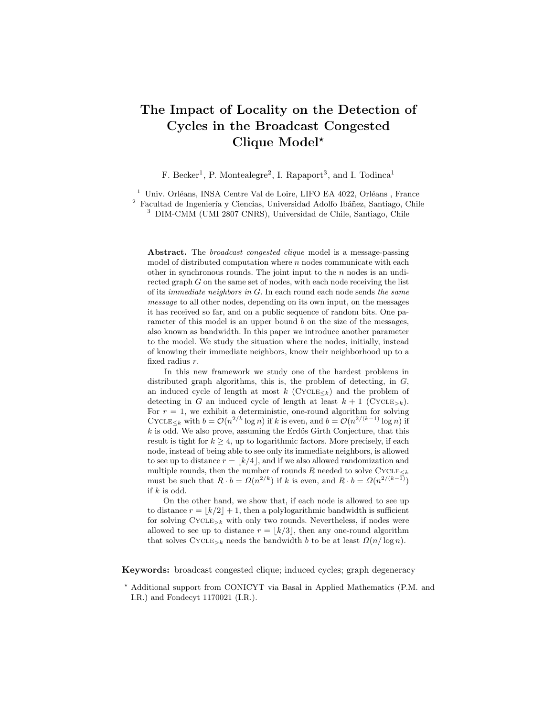# The Impact of Locality on the Detection of Cycles in the Broadcast Congested Clique Model?

F. Becker<sup>1</sup>, P. Montealegre<sup>2</sup>, I. Rapaport<sup>3</sup>, and I. Todinca<sup>1</sup>

 $^{\rm 1}$ Univ. Orléans, INSA Centre Val de Loire, LIFO EA 4022, Orléans , France

 $^2$  Facultad de Ingeniería y Ciencias, Universidad Adolfo Ibáñez, Santiago, Chile <sup>3</sup> DIM-CMM (UMI 2807 CNRS), Universidad de Chile, Santiago, Chile

Abstract. The *broadcast congested clique* model is a message-passing model of distributed computation where  $n$  nodes communicate with each other in synchronous rounds. The joint input to the  $n$  nodes is an undirected graph G on the same set of nodes, with each node receiving the list of its immediate neighbors in G. In each round each node sends the same message to all other nodes, depending on its own input, on the messages it has received so far, and on a public sequence of random bits. One parameter of this model is an upper bound b on the size of the messages, also known as bandwidth. In this paper we introduce another parameter to the model. We study the situation where the nodes, initially, instead of knowing their immediate neighbors, know their neighborhood up to a fixed radius r.

In this new framework we study one of the hardest problems in distributed graph algorithms, this is, the problem of detecting, in G, an induced cycle of length at most k ( $CYCLE\lt k$ ) and the problem of detecting in G an induced cycle of length at least  $k + 1$  (CYCLE<sub>>k</sub>). For  $r = 1$ , we exhibit a deterministic, one-round algorithm for solving CYCLE<sub> $\leq k$ </sub> with  $b = \mathcal{O}(n^{2/k} \log n)$  if k is even, and  $b = \mathcal{O}(n^{2/(k-1)} \log n)$  if  $k$  is odd. We also prove, assuming the Erdős Girth Conjecture, that this result is tight for  $k \geq 4$ , up to logarithmic factors. More precisely, if each node, instead of being able to see only its immediate neighbors, is allowed to see up to distance  $r = |k/4|$ , and if we also allowed randomization and multiple rounds, then the number of rounds R needed to solve  $\text{CYCLE}_{\leq k}$ must be such that  $R \cdot b = \Omega(n^{2/k})$  if k is even, and  $R \cdot b = \Omega(n^{2/(k-1)})$ if  $k$  is odd.

On the other hand, we show that, if each node is allowed to see up to distance  $r = |k/2| + 1$ , then a polylogarithmic bandwidth is sufficient for solving  $\text{CYCLE}_{\geq k}$  with only two rounds. Nevertheless, if nodes were allowed to see up to distance  $r = \lfloor k/3 \rfloor$ , then any one-round algorithm that solves CYCLE<sub>>k</sub> needs the bandwidth b to be at least  $\Omega(n/\log n)$ .

Keywords: broadcast congested clique; induced cycles; graph degeneracy

<sup>?</sup> Additional support from CONICYT via Basal in Applied Mathematics (P.M. and I.R.) and Fondecyt 1170021 (I.R.).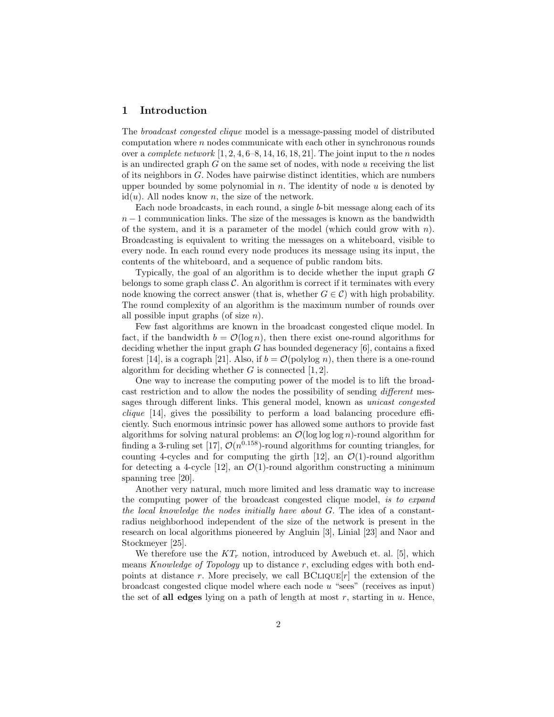## 1 Introduction

The broadcast congested clique model is a message-passing model of distributed computation where  $n$  nodes communicate with each other in synchronous rounds over a *complete network*  $[1, 2, 4, 6–8, 14, 16, 18, 21]$ . The joint input to the *n* nodes is an undirected graph  $G$  on the same set of nodes, with node  $u$  receiving the list of its neighbors in G. Nodes have pairwise distinct identities, which are numbers upper bounded by some polynomial in  $n$ . The identity of node  $u$  is denoted by  $id(u)$ . All nodes know n, the size of the network.

Each node broadcasts, in each round, a single b-bit message along each of its  $n-1$  communication links. The size of the messages is known as the bandwidth of the system, and it is a parameter of the model (which could grow with  $n$ ). Broadcasting is equivalent to writing the messages on a whiteboard, visible to every node. In each round every node produces its message using its input, the contents of the whiteboard, and a sequence of public random bits.

Typically, the goal of an algorithm is to decide whether the input graph G belongs to some graph class  $C$ . An algorithm is correct if it terminates with every node knowing the correct answer (that is, whether  $G \in \mathcal{C}$ ) with high probability. The round complexity of an algorithm is the maximum number of rounds over all possible input graphs (of size  $n$ ).

Few fast algorithms are known in the broadcast congested clique model. In fact, if the bandwidth  $b = \mathcal{O}(\log n)$ , then there exist one-round algorithms for deciding whether the input graph  $G$  has bounded degeneracy  $[6]$ , contains a fixed forest [14], is a cograph [21]. Also, if  $b = \mathcal{O}(\text{polylog } n)$ , then there is a one-round algorithm for deciding whether  $G$  is connected  $[1, 2]$ .

One way to increase the computing power of the model is to lift the broadcast restriction and to allow the nodes the possibility of sending different messages through different links. This general model, known as unicast congested clique [14], gives the possibility to perform a load balancing procedure efficiently. Such enormous intrinsic power has allowed some authors to provide fast algorithms for solving natural problems: an  $\mathcal{O}(\log \log \log n)$ -round algorithm for finding a 3-ruling set [17],  $\mathcal{O}(n^{0.158})$ -round algorithms for counting triangles, for counting 4-cycles and for computing the girth [12], an  $\mathcal{O}(1)$ -round algorithm for detecting a 4-cycle [12], an  $\mathcal{O}(1)$ -round algorithm constructing a minimum spanning tree [20].

Another very natural, much more limited and less dramatic way to increase the computing power of the broadcast congested clique model, is to expand the local knowledge the nodes initially have about  $G$ . The idea of a constantradius neighborhood independent of the size of the network is present in the research on local algorithms pioneered by Angluin [3], Linial [23] and Naor and Stockmeyer [25].

We therefore use the  $KT_r$  notion, introduced by Awebuch et. al. [5], which means Knowledge of Topology up to distance  $r$ , excluding edges with both endpoints at distance r. More precisely, we call  $BCLIQUE[r]$  the extension of the broadcast congested clique model where each node  $u$  "sees" (receives as input) the set of all edges lying on a path of length at most  $r$ , starting in  $u$ . Hence,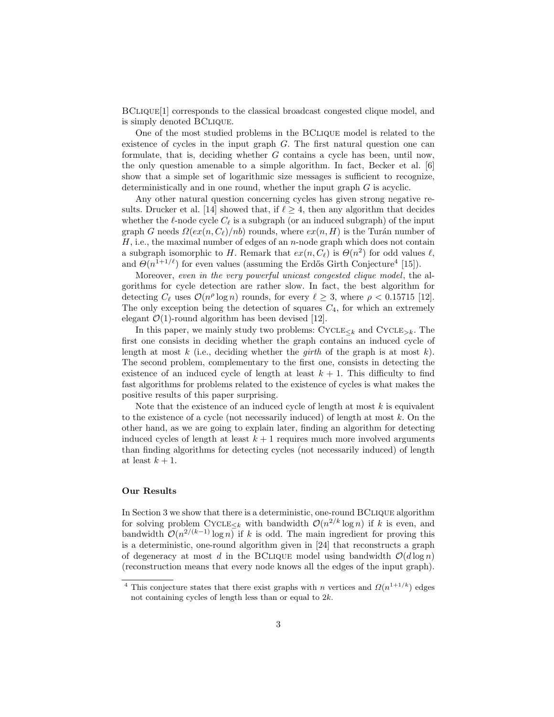BCLIQUE<sup>[1]</sup> corresponds to the classical broadcast congested clique model, and is simply denoted BClique.

One of the most studied problems in the BClique model is related to the existence of cycles in the input graph G. The first natural question one can formulate, that is, deciding whether G contains a cycle has been, until now, the only question amenable to a simple algorithm. In fact, Becker et al. [6] show that a simple set of logarithmic size messages is sufficient to recognize, deterministically and in one round, whether the input graph G is acyclic.

Any other natural question concerning cycles has given strong negative results. Drucker et al. [14] showed that, if  $\ell \geq 4$ , then any algorithm that decides whether the  $\ell$ -node cycle  $C_{\ell}$  is a subgraph (or an induced subgraph) of the input graph G needs  $\Omega(ex(n, C_{\ell})/nb)$  rounds, where  $ex(n, H)$  is the Turán number of  $H$ , i.e., the maximal number of edges of an *n*-node graph which does not contain a subgraph isomorphic to H. Remark that  $ex(n, C_\ell)$  is  $\Theta(n^2)$  for odd values  $\ell$ , and  $\Theta(n^{1+1/\ell})$  for even values (assuming the Erdős Girth Conjecture<sup>4</sup> [15]).

Moreover, even in the very powerful unicast congested clique model, the algorithms for cycle detection are rather slow. In fact, the best algorithm for detecting  $C_{\ell}$  uses  $\mathcal{O}(n^{\rho} \log n)$  rounds, for every  $\ell \geq 3$ , where  $\rho < 0.15715$  [12]. The only exception being the detection of squares  $C_4$ , for which an extremely elegant  $\mathcal{O}(1)$ -round algorithm has been devised [12].

In this paper, we mainly study two problems:  $\text{CYCLE}_{< k}$  and  $\text{CYCLE}_{> k}$ . The first one consists in deciding whether the graph contains an induced cycle of length at most k (i.e., deciding whether the *girth* of the graph is at most k). The second problem, complementary to the first one, consists in detecting the existence of an induced cycle of length at least  $k + 1$ . This difficulty to find fast algorithms for problems related to the existence of cycles is what makes the positive results of this paper surprising.

Note that the existence of an induced cycle of length at most  $k$  is equivalent to the existence of a cycle (not necessarily induced) of length at most  $k$ . On the other hand, as we are going to explain later, finding an algorithm for detecting induced cycles of length at least  $k + 1$  requires much more involved arguments than finding algorithms for detecting cycles (not necessarily induced) of length at least  $k+1$ .

#### Our Results

In Section 3 we show that there is a deterministic, one-round BClique algorithm for solving problem CYCLE<sub> $\leq k$ </sub> with bandwidth  $\mathcal{O}(n^{2/k} \log n)$  if k is even, and bandwidth  $\mathcal{O}(n^{2/(k-1)} \log n)$  if k is odd. The main ingredient for proving this is a deterministic, one-round algorithm given in [24] that reconstructs a graph of degeneracy at most d in the BCLIQUE model using bandwidth  $\mathcal{O}(d \log n)$ (reconstruction means that every node knows all the edges of the input graph).

<sup>&</sup>lt;sup>4</sup> This conjecture states that there exist graphs with n vertices and  $\Omega(n^{1+1/k})$  edges not containing cycles of length less than or equal to  $2k$ .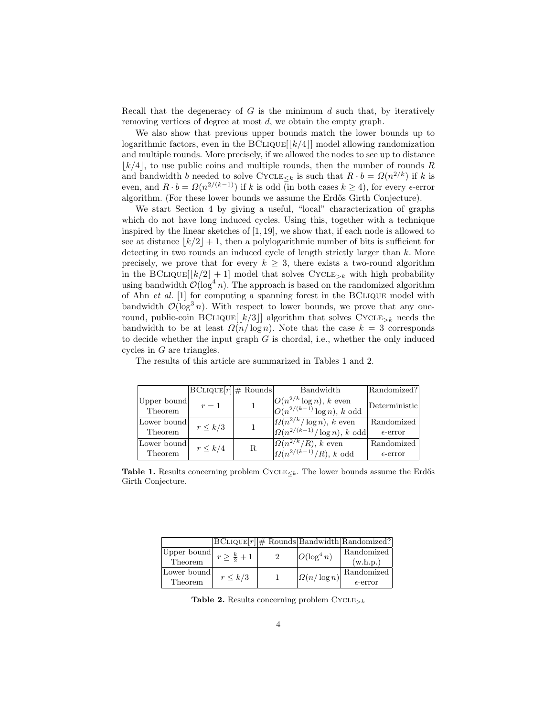Recall that the degeneracy of  $G$  is the minimum d such that, by iteratively removing vertices of degree at most d, we obtain the empty graph.

We also show that previous upper bounds match the lower bounds up to logarithmic factors, even in the  $BCLIQUE[|k/4|]$  model allowing randomization and multiple rounds. More precisely, if we allowed the nodes to see up to distance  $\lfloor k/4 \rfloor$ , to use public coins and multiple rounds, then the number of rounds R and bandwidth b needed to solve CYCLE<sub>≤k</sub> is such that  $R \cdot b = \Omega(n^{2/k})$  if k is even, and  $R \cdot b = \Omega(n^{2/(k-1)})$  if k is odd (in both cases  $k \ge 4$ ), for every  $\epsilon$ -error algorithm. (For these lower bounds we assume the Erdős Girth Conjecture).

We start Section 4 by giving a useful, "local" characterization of graphs which do not have long induced cycles. Using this, together with a technique inspired by the linear sketches of [1, 19], we show that, if each node is allowed to see at distance  $\lfloor k/2 \rfloor + 1$ , then a polylogarithmic number of bits is sufficient for detecting in two rounds an induced cycle of length strictly larger than  $k$ . More precisely, we prove that for every  $k \geq 3$ , there exists a two-round algorithm in the BCLIQUE  $|k/2| + 1$  model that solves CYCLE<sub>>k</sub> with high probability using bandwidth  $\mathcal{O}(\log^4 n)$ . The approach is based on the randomized algorithm of Ahn et al. [1] for computing a spanning forest in the BClique model with bandwidth  $\mathcal{O}(\log^3 n)$ . With respect to lower bounds, we prove that any oneround, public-coin BCLIQUE  $\lfloor k/3 \rfloor$  algorithm that solves CYCLE<sub>>k</sub> needs the bandwidth to be at least  $\Omega(n/\log n)$ . Note that the case  $k = 3$  corresponds to decide whether the input graph  $G$  is chordal, i.e., whether the only induced cycles in G are triangles.

|  |  |  |  |  |  | The results of this article are summarized in Tables 1 and 2. |  |  |  |  |  |
|--|--|--|--|--|--|---------------------------------------------------------------|--|--|--|--|--|
|--|--|--|--|--|--|---------------------------------------------------------------|--|--|--|--|--|

|                        | $ BCLIQUE[r]  \#$ Rounds |    | Bandwidth                                                                                                  | Randomized?                     |
|------------------------|--------------------------|----|------------------------------------------------------------------------------------------------------------|---------------------------------|
| Upper bound<br>Theorem | $r=1$                    |    | $\begin{array}{l} O(n^{2/k} \log n), k \text{ even} \\ O(n^{2/(k-1)} \log n), k \text{ odd} \end{array}$   | Deterministic                   |
| Lower bound<br>Theorem | $r \leq k/3$             |    | $\sqrt{\Omega(n^{2/k}/\log n)}$ , k even<br>$\left \frac{\Omega(n^{2/(k-1)}/\log n)}{k\text{ odd}}\right $ | Randomized<br>$\epsilon$ -error |
| Lower bound<br>Theorem | $r \leq k/4$             | R. | $\Omega(n^{2/k}/R)$ , k even<br>$\Omega(n^{2/(k-1)}/R)$ , k odd                                            | Randomized<br>$\epsilon$ -error |

**Table 1.** Results concerning problem CYCLE $\lt k$ . The lower bounds assume the Erdős Girth Conjecture.

|                        |                        |                                 | $ BCLIQUE[r] \#$ Rounds Bandwidth Randomized? |
|------------------------|------------------------|---------------------------------|-----------------------------------------------|
| Upper bound<br>Theorem | $r \geq \frac{k}{2}+1$ | $O(\log^4 n)$                   | Randomized<br>(w.h.p.)                        |
| Lower bound<br>Theorem | $r \leq k/3$           | $\left \Omega(n/\log n)\right $ | Randomized<br>$\epsilon$ -error               |

**Table 2.** Results concerning problem  $\text{CYCLE}_{\geq k}$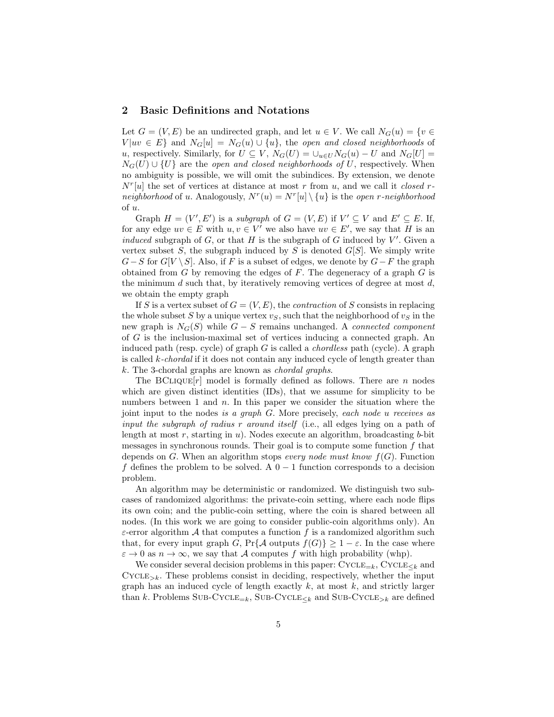## 2 Basic Definitions and Notations

Let  $G = (V, E)$  be an undirected graph, and let  $u \in V$ . We call  $N_G(u) = \{v \in$  $V | uv \in E$  and  $N_G[u] = N_G(u) \cup \{u\}$ , the open and closed neighborhoods of u, respectively. Similarly, for  $U \subseteq V$ ,  $N_G(U) = \bigcup_{u \in U} N_G(u) - U$  and  $N_G[U] =$  $N_G(U) \cup \{U\}$  are the open and closed neighborhoods of U, respectively. When no ambiguity is possible, we will omit the subindices. By extension, we denote  $N^{r}[u]$  the set of vertices at distance at most r from u, and we call it closed rneighborhood of u. Analogously,  $N^{r}(u) = N^{r}[u] \setminus \{u\}$  is the open r-neighborhood of u.

Graph  $H = (V', E')$  is a *subgraph* of  $G = (V, E)$  if  $V' \subseteq V$  and  $E' \subseteq E$ . If, for any edge  $uv \in E$  with  $u, v \in V'$  we also have  $uv \in E'$ , we say that H is an induced subgraph of  $G$ , or that  $H$  is the subgraph of  $G$  induced by  $V'$ . Given a vertex subset S, the subgraph induced by S is denoted  $G[S]$ . We simply write  $G-S$  for  $G[V\setminus S]$ . Also, if F is a subset of edges, we denote by  $G-F$  the graph obtained from  $G$  by removing the edges of  $F$ . The degeneracy of a graph  $G$  is the minimum  $d$  such that, by iteratively removing vertices of degree at most  $d$ , we obtain the empty graph

If S is a vertex subset of  $G = (V, E)$ , the *contraction* of S consists in replacing the whole subset S by a unique vertex  $v<sub>S</sub>$ , such that the neighborhood of  $v<sub>S</sub>$  in the new graph is  $N_G(S)$  while  $G-S$  remains unchanged. A *connected component* of G is the inclusion-maximal set of vertices inducing a connected graph. An induced path (resp. cycle) of graph  $G$  is called a *chordless* path (cycle). A graph is called k-chordal if it does not contain any induced cycle of length greater than k. The 3-chordal graphs are known as chordal graphs.

The BCLIQUE $[r]$  model is formally defined as follows. There are n nodes which are given distinct identities (IDs), that we assume for simplicity to be numbers between 1 and  $n$ . In this paper we consider the situation where the joint input to the nodes is a graph G. More precisely, each node u receives as input the subgraph of radius r around itself (i.e., all edges lying on a path of length at most  $r$ , starting in  $u$ ). Nodes execute an algorithm, broadcasting b-bit messages in synchronous rounds. Their goal is to compute some function  $f$  that depends on G. When an algorithm stops every node must know  $f(G)$ . Function f defines the problem to be solved. A  $0 - 1$  function corresponds to a decision problem.

An algorithm may be deterministic or randomized. We distinguish two subcases of randomized algorithms: the private-coin setting, where each node flips its own coin; and the public-coin setting, where the coin is shared between all nodes. (In this work we are going to consider public-coin algorithms only). An  $\varepsilon$ -error algorithm A that computes a function f is a randomized algorithm such that, for every input graph G, Pr{A outputs  $f(G) \geq 1 - \varepsilon$ . In the case where  $\varepsilon \to 0$  as  $n \to \infty$ , we say that A computes f with high probability (whp).

We consider several decision problems in this paper:  $\text{CYCLE}_{=k}$ ,  $\text{CYCLE}_{\leq k}$  and  $CYCLE_{\geq k}$ . These problems consist in deciding, respectively, whether the input graph has an induced cycle of length exactly  $k$ , at most  $k$ , and strictly larger than k. Problems SUB-CYCLE<sub> $=k$ </sub>, SUB-CYCLE<sub> $\lt k$ </sub> and SUB-CYCLE<sub> $\gt k$ </sub> are defined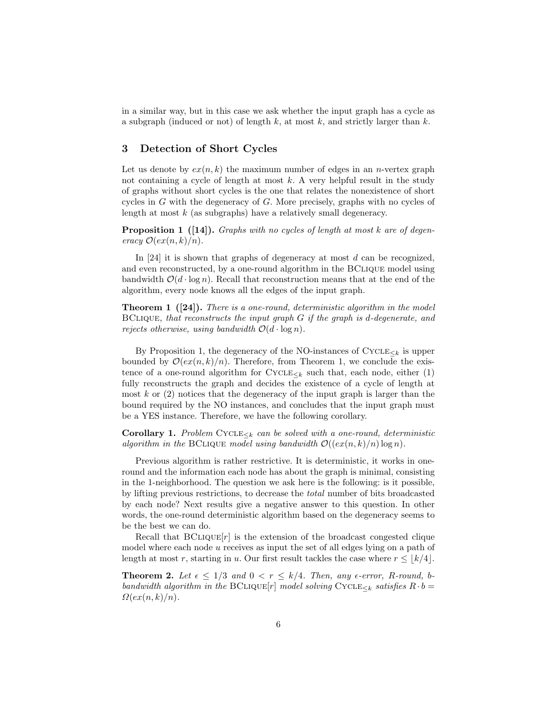in a similar way, but in this case we ask whether the input graph has a cycle as a subgraph (induced or not) of length  $k$ , at most  $k$ , and strictly larger than  $k$ .

# 3 Detection of Short Cycles

Let us denote by  $ex(n, k)$  the maximum number of edges in an *n*-vertex graph not containing a cycle of length at most  $k$ . A very helpful result in the study of graphs without short cycles is the one that relates the nonexistence of short cycles in G with the degeneracy of G. More precisely, graphs with no cycles of length at most  $k$  (as subgraphs) have a relatively small degeneracy.

**Proposition 1** ([14]). Graphs with no cycles of length at most k are of degeneracy  $\mathcal{O}(ex(n,k)/n)$ .

In [24] it is shown that graphs of degeneracy at most  $d$  can be recognized, and even reconstructed, by a one-round algorithm in the BClique model using bandwidth  $\mathcal{O}(d \cdot \log n)$ . Recall that reconstruction means that at the end of the algorithm, every node knows all the edges of the input graph.

**Theorem 1** ([24]). There is a one-round, deterministic algorithm in the model BClique, that reconstructs the input graph G if the graph is d-degenerate, and rejects otherwise, using bandwidth  $\mathcal{O}(d \cdot \log n)$ .

By Proposition 1, the degeneracy of the NO-instances of  $\text{CYCLE}_{\leq k}$  is upper bounded by  $\mathcal{O}(ex(n,k)/n)$ . Therefore, from Theorem 1, we conclude the existence of a one-round algorithm for CYCLE<sub> $\lt k$ </sub> such that, each node, either (1) fully reconstructs the graph and decides the existence of a cycle of length at most  $k$  or (2) notices that the degeneracy of the input graph is larger than the bound required by the NO instances, and concludes that the input graph must be a YES instance. Therefore, we have the following corollary.

Corollary 1. Problem  $\text{CYCLE}_{\leq k}$  can be solved with a one-round, deterministic algorithm in the BCLIQUE model using bandwidth  $\mathcal{O}((ex(n,k)/n) \log n)$ .

Previous algorithm is rather restrictive. It is deterministic, it works in oneround and the information each node has about the graph is minimal, consisting in the 1-neighborhood. The question we ask here is the following: is it possible, by lifting previous restrictions, to decrease the total number of bits broadcasted by each node? Next results give a negative answer to this question. In other words, the one-round deterministic algorithm based on the degeneracy seems to be the best we can do.

Recall that  $BCLIQUE[r]$  is the extension of the broadcast congested clique model where each node u receives as input the set of all edges lying on a path of length at most r, starting in u. Our first result tackles the case where  $r \leq |k/4|$ .

**Theorem 2.** Let  $\epsilon \leq 1/3$  and  $0 < r \leq k/4$ . Then, any  $\epsilon$ -error, R-round, bbandwidth algorithm in the BCLIQUE[r] model solving CYCLE $\lt k$  satisfies  $R \cdot b =$  $\Omega(ex(n,k)/n).$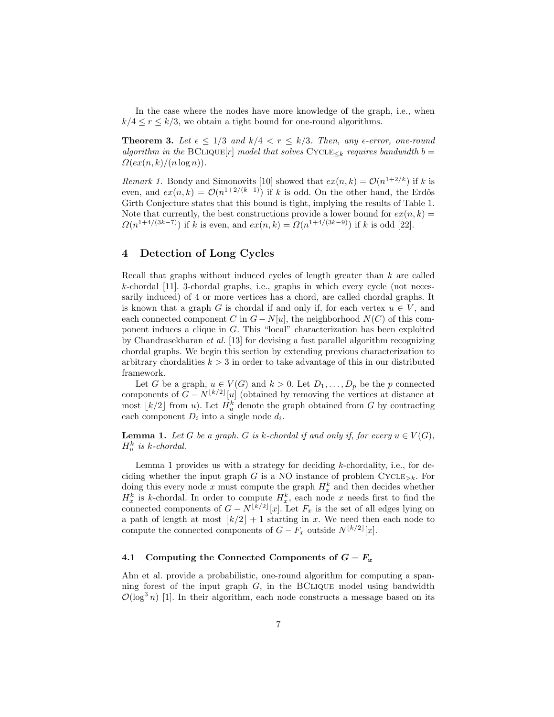In the case where the nodes have more knowledge of the graph, i.e., when  $k/4 \le r \le k/3$ , we obtain a tight bound for one-round algorithms.

**Theorem 3.** Let  $\epsilon \leq 1/3$  and  $k/4 < r \leq k/3$ . Then, any  $\epsilon$ -error, one-round algorithm in the BCLIQUE $[r]$  model that solves CYCLE $\lt k$  requires bandwidth b =  $\Omega(ex(n, k)/(n \log n)).$ 

*Remark 1.* Bondy and Simonovits [10] showed that  $ex(n, k) = \mathcal{O}(n^{1+2/k})$  if k is even, and  $ex(n,k) = \mathcal{O}(n^{1+2/(k-1)})$  if k is odd. On the other hand, the Erdős Girth Conjecture states that this bound is tight, implying the results of Table 1. Note that currently, the best constructions provide a lower bound for  $ex(n, k)$  $\Omega(n^{1+4/(3k-7)})$  if k is even, and  $ex(n,k) = \Omega(n^{1+4/(3k-9)})$  if k is odd [22].

# 4 Detection of Long Cycles

Recall that graphs without induced cycles of length greater than  $k$  are called k-chordal [11]. 3-chordal graphs, i.e., graphs in which every cycle (not necessarily induced) of 4 or more vertices has a chord, are called chordal graphs. It is known that a graph G is chordal if and only if, for each vertex  $u \in V$ , and each connected component C in  $G - N[u]$ , the neighborhood  $N(C)$  of this component induces a clique in  $G$ . This "local" characterization has been exploited by Chandrasekharan et al. [13] for devising a fast parallel algorithm recognizing chordal graphs. We begin this section by extending previous characterization to arbitrary chordalities  $k > 3$  in order to take advantage of this in our distributed framework.

Let G be a graph,  $u \in V(G)$  and  $k > 0$ . Let  $D_1, \ldots, D_p$  be the p connected components of  $G - N^{\lfloor k/2 \rfloor}[u]$  (obtained by removing the vertices at distance at most  $\lfloor k/2 \rfloor$  from u). Let  $H_u^k$  denote the graph obtained from G by contracting each component  $D_i$  into a single node  $d_i$ .

**Lemma 1.** Let G be a graph. G is k-chordal if and only if, for every  $u \in V(G)$ ,  $H_u^k$  is k-chordal.

Lemma 1 provides us with a strategy for deciding  $k$ -chordality, i.e., for deciding whether the input graph G is a NO instance of problem  $\text{CYCLE}_{\geq k}$ . For doing this every node x must compute the graph  $H_x^k$  and then decides whether  $H_x^k$  is k-chordal. In order to compute  $H_x^k$ , each node x needs first to find the connected components of  $G - N^{\lfloor k/2 \rfloor}[x]$ . Let  $F_x$  is the set of all edges lying on a path of length at most  $\lfloor k/2 \rfloor + 1$  starting in x. We need then each node to compute the connected components of  $G - F_x$  outside  $N^{\lfloor k/2 \rfloor}[x]$ .

# 4.1 Computing the Connected Components of  $G - F_x$

Ahn et al. provide a probabilistic, one-round algorithm for computing a spanning forest of the input graph  $G$ , in the BCLIQUE model using bandwidth  $\mathcal{O}(\log^3 n)$  [1]. In their algorithm, each node constructs a message based on its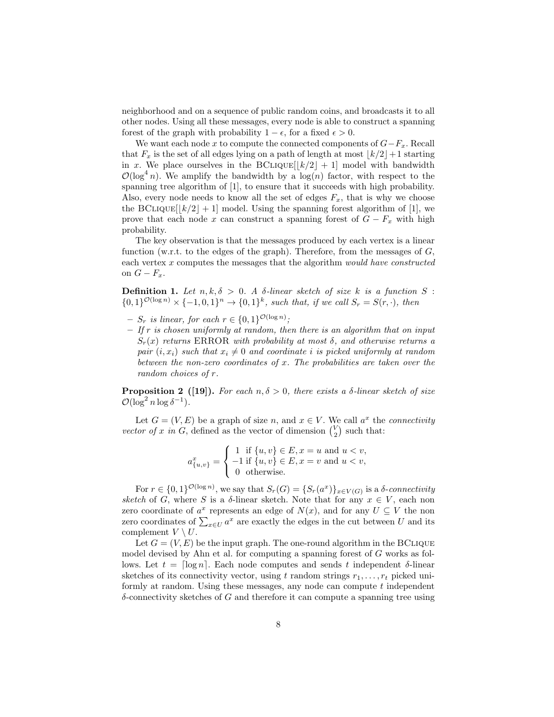neighborhood and on a sequence of public random coins, and broadcasts it to all other nodes. Using all these messages, every node is able to construct a spanning forest of the graph with probability  $1 - \epsilon$ , for a fixed  $\epsilon > 0$ .

We want each node x to compute the connected components of  $G-F_x$ . Recall that  $F_x$  is the set of all edges lying on a path of length at most  $\lfloor k/2 \rfloor + 1$  starting in x. We place ourselves in the BCLIQUE  $\lfloor k/2 \rfloor + 1$  model with bandwidth  $\mathcal{O}(\log^4 n)$ . We amplify the bandwidth by a  $\log(n)$  factor, with respect to the spanning tree algorithm of [1], to ensure that it succeeds with high probability. Also, every node needs to know all the set of edges  $F_x$ , that is why we choose the BCLIQUE $[k/2] + 1]$  model. Using the spanning forest algorithm of [1], we prove that each node x can construct a spanning forest of  $G - F_x$  with high probability.

The key observation is that the messages produced by each vertex is a linear function (w.r.t. to the edges of the graph). Therefore, from the messages of  $G$ , each vertex  $x$  computes the messages that the algorithm *would have constructed* on  $G - F_x$ .

**Definition 1.** Let  $n, k, \delta > 0$ . A  $\delta$ -linear sketch of size k is a function S:  ${0,1}^{\mathcal{O}(\log n)} \times {\{-1,0,1\}}^n \to {0,1\}^k$ , such that, if we call  $S_r = S(r,\cdot)$ , then

- $S_r$  is linear, for each  $r \in \{0,1\}^{\mathcal{O}(\log n)}$ ;
- $-$  If r is chosen uniformly at random, then there is an algorithm that on input  $S_r(x)$  returns ERROR with probability at most  $\delta$ , and otherwise returns a pair  $(i, x_i)$  such that  $x_i \neq 0$  and coordinate i is picked uniformly at random between the non-zero coordinates of  $x$ . The probabilities are taken over the random choices of r.

**Proposition 2** ([19]). For each  $n, \delta > 0$ , there exists a  $\delta$ -linear sketch of size  $\mathcal{O}(\log^2 n \log \delta^{-1}).$ 

Let  $G = (V, E)$  be a graph of size n, and  $x \in V$ . We call  $a^x$  the connectivity vector of x in G, defined as the vector of dimension  $\binom{V}{2}$  such that:

$$
a_{\{u,v\}}^x = \begin{cases} 1 & \text{if } \{u,v\} \in E, x = u \text{ and } u < v, \\ -1 & \text{if } \{u,v\} \in E, x = v \text{ and } u < v, \\ 0 & \text{otherwise.} \end{cases}
$$

For  $r \in \{0,1\}^{\mathcal{O}(\log n)}$ , we say that  $S_r(G) = \{S_r(a^x)\}_{x \in V(G)}$  is a  $\delta$ -connectivity sketch of G, where S is a  $\delta$ -linear sketch. Note that for any  $x \in V$ , each non zero coordinate of  $a^x$  represents an edge of  $N(x)$ , and for any  $U \subseteq V$  the non zero coordinates of  $\sum_{x \in U} a^x$  are exactly the edges in the cut between U and its complement  $V \setminus U$ .

Let  $G = (V, E)$  be the input graph. The one-round algorithm in the BCLIQUE model devised by Ahn et al. for computing a spanning forest of G works as follows. Let  $t = \lceil \log n \rceil$ . Each node computes and sends t independent δ-linear sketches of its connectivity vector, using t random strings  $r_1, \ldots, r_t$  picked uniformly at random. Using these messages, any node can compute  $t$  independent  $\delta$ -connectivity sketches of G and therefore it can compute a spanning tree using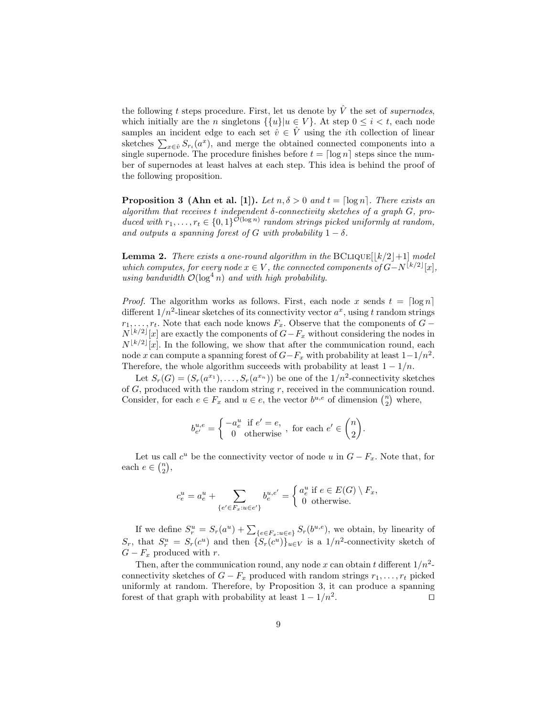the following t steps procedure. First, let us denote by  $\hat{V}$  the set of supernodes, which initially are the n singletons  $\{\{u\}|u \in V\}$ . At step  $0 \leq i \leq t$ , each node samples an incident edge to each set  $\hat{v} \in \hat{V}$  using the *i*th collection of linear sketches  $\sum_{x \in \hat{v}} S_{r_i}(a^x)$ , and merge the obtained connected components into a single supernode. The procedure finishes before  $t = \lfloor \log n \rfloor$  steps since the number of supernodes at least halves at each step. This idea is behind the proof of the following proposition.

**Proposition 3 (Ahn et al. [1]).** Let  $n, \delta > 0$  and  $t = \lceil \log n \rceil$ . There exists an algorithm that receives t independent  $\delta$ -connectivity sketches of a graph  $G$ , produced with  $r_1, \ldots, r_t \in \{0,1\}^{\mathcal{O}(\log n)}$  random strings picked uniformly at random, and outputs a spanning forest of G with probability  $1 - \delta$ .

**Lemma 2.** There exists a one-round algorithm in the BCLIQUE $[|k/2|+1]$  model which computes, for every node  $x \in V$ , the connected components of  $G-N^{\lfloor k/2 \rfloor}[x]$ , using bandwidth  $\mathcal{O}(\log^4 n)$  and with high probability.

*Proof.* The algorithm works as follows. First, each node x sends  $t = \lceil \log n \rceil$ different  $1/n^2$ -linear sketches of its connectivity vector  $a^x$ , using t random strings  $r_1, \ldots, r_t$ . Note that each node knows  $F_x$ . Observe that the components of  $G N^{\lfloor k/2 \rfloor}[x]$  are exactly the components of  $G-F_x$  without considering the nodes in  $N^{\lfloor k/2 \rfloor}[x]$ . In the following, we show that after the communication round, each node x can compute a spanning forest of  $G-F_x$  with probability at least  $1-1/n^2$ . Therefore, the whole algorithm succeeds with probability at least  $1 - 1/n$ .

Let  $S_r(G) = (S_r(a^{x_1}), \ldots, S_r(a^{x_n}))$  be one of the  $1/n^2$ -connectivity sketches of  $G$ , produced with the random string  $r$ , received in the communication round. Consider, for each  $e \in F_x$  and  $u \in e$ , the vector  $b^{u,e}$  of dimension  $\binom{n}{2}$  where,

$$
b^{u,e}_{e'} = \begin{cases} -a^u_e & \text{if } e'=e, \\ 0 & \text{otherwise} \end{cases}
$$
, for each  $e' \in \binom{n}{2}$ .

Let us call  $c^u$  be the connectivity vector of node u in  $G - F_x$ . Note that, for each  $e \in \binom{n}{2}$ ,

$$
c_e^u = a_e^u + \sum_{\{e' \in F_x : u \in e'\}} b_e^{u,e'} = \begin{cases} a_e^u \text{ if } e \in E(G) \setminus F_x, \\ 0 \text{ otherwise.} \end{cases}
$$

If we define  $S_r^u = S_r(a^u) + \sum_{\{e \in F_x : u \in e\}} S_r(b^{u,e})$ , we obtain, by linearity of  $S_r$ , that  $S_r^u = S_r(c^u)$  and then  $\{S_r(c^u)\}_{u \in V}$  is a  $1/n^2$ -connectivity sketch of  $G - F_x$  produced with r.

Then, after the communication round, any node x can obtain t different  $1/n^2$ . connectivity sketches of  $G - F_x$  produced with random strings  $r_1, \ldots, r_t$  picked uniformly at random. Therefore, by Proposition 3, it can produce a spanning forest of that graph with probability at least  $1 - 1/n^2$ . . The contract of  $\Box$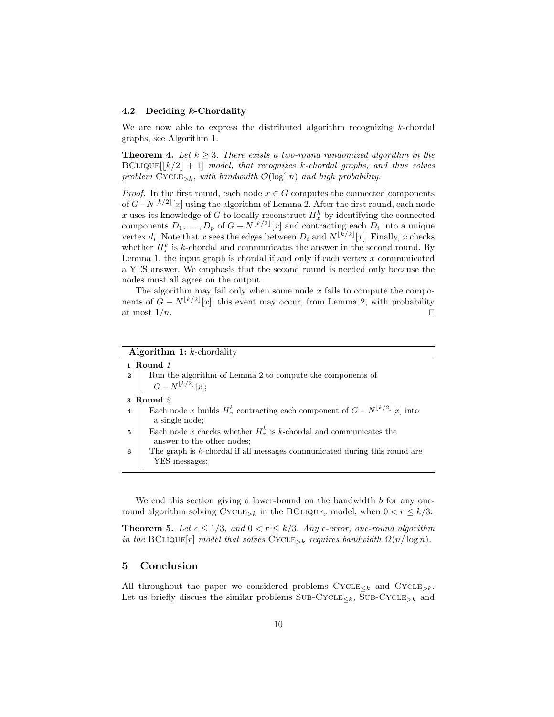#### 4.2 Deciding  $k$ -Chordality

We are now able to express the distributed algorithm recognizing  $k$ -chordal graphs, see Algorithm 1.

**Theorem 4.** Let  $k \geq 3$ . There exists a two-round randomized algorithm in the  $BCLIQUE[|k/2| + 1] model, that recognizes k-chordal graphs, and thus solves$ problem  $\text{CYCLE}_{\geq k}$ , with bandwidth  $\mathcal{O}(\log^4 n)$  and high probability.

*Proof.* In the first round, each node  $x \in G$  computes the connected components of  $G-N^{\lfloor k/2\rfloor}[x]$  using the algorithm of Lemma 2. After the first round, each node x uses its knowledge of G to locally reconstruct  $H_x^k$  by identifying the connected components  $D_1, \ldots, D_p$  of  $G - N^{\lfloor k/2 \rfloor}[x]$  and contracting each  $D_i$  into a unique vertex  $d_i$ . Note that x sees the edges between  $D_i$  and  $N^{\lfloor k/2 \rfloor}[x]$ . Finally, x checks whether  $H_x^k$  is k-chordal and communicates the answer in the second round. By Lemma 1, the input graph is chordal if and only if each vertex  $x$  communicated a YES answer. We emphasis that the second round is needed only because the nodes must all agree on the output.

The algorithm may fail only when some node  $x$  fails to compute the components of  $G - N^{\lfloor k/2 \rfloor}[x]$ ; this event may occur, from Lemma 2, with probability at most  $1/n$ .

| Algorithm 1: $k$ -chordality                                                                                                       |  |  |  |  |  |
|------------------------------------------------------------------------------------------------------------------------------------|--|--|--|--|--|
| 1 Round $1$                                                                                                                        |  |  |  |  |  |
| Run the algorithm of Lemma 2 to compute the components of<br>$\bf{2}$                                                              |  |  |  |  |  |
| $G-N^{\lfloor k/2\rfloor}[x];$                                                                                                     |  |  |  |  |  |
| 3 Round 2                                                                                                                          |  |  |  |  |  |
| Each node x builds $H_x^k$ contracting each component of $G - N^{\lfloor k/2 \rfloor}[x]$ into<br>$\overline{4}$<br>a single node: |  |  |  |  |  |
| Each node x checks whether $H_x^k$ is k-chordal and communicates the<br>5<br>answer to the other nodes;                            |  |  |  |  |  |
| The graph is $k$ -chordal if all messages communicated during this round are<br>6<br>YES messages;                                 |  |  |  |  |  |

We end this section giving a lower-bound on the bandwidth  $b$  for any oneround algorithm solving  $\text{CYCLE}_{\geq k}$  in the BCLIQUE<sub>r</sub> model, when  $0 < r \leq k/3$ .

**Theorem 5.** Let  $\epsilon \leq 1/3$ , and  $0 < r \leq k/3$ . Any  $\epsilon$ -error, one-round algorithm in the BCLIQUE $[r]$  model that solves CYCLE<sub>>k</sub> requires bandwidth  $\Omega(n/\log n)$ .

#### 5 Conclusion

All throughout the paper we considered problems  $\text{CYCLE}_{\leq k}$  and  $\text{CYCLE}_{\geq k}$ . Let us briefly discuss the similar problems  $SUB-CYCLE_{\leq k}$ ,  $SUB-CYCLE_{>k}$  and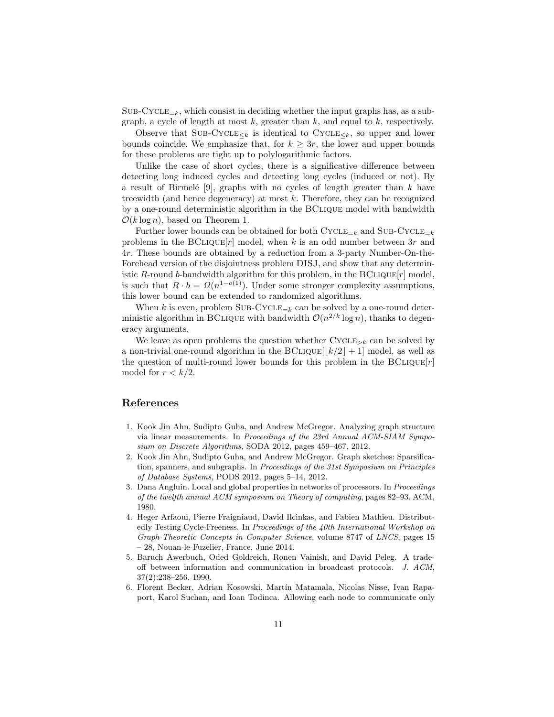$SUB-CYCLE_{=k}$ , which consist in deciding whether the input graphs has, as a subgraph, a cycle of length at most  $k$ , greater than  $k$ , and equal to  $k$ , respectively.

Observe that  $SUB-CYCLE_{ is identical to  $CYCLE_{, so upper and lower$$ bounds coincide. We emphasize that, for  $k \geq 3r$ , the lower and upper bounds for these problems are tight up to polylogarithmic factors.

Unlike the case of short cycles, there is a significative difference between detecting long induced cycles and detecting long cycles (induced or not). By a result of Birmelé [9], graphs with no cycles of length greater than  $k$  have treewidth (and hence degeneracy) at most  $k$ . Therefore, they can be recognized by a one-round deterministic algorithm in the BClique model with bandwidth  $\mathcal{O}(k \log n)$ , based on Theorem 1.

Further lower bounds can be obtained for both  $\text{CYCLE}_{=k}$  and  $\text{SUB-CYCLE}_{=k}$ problems in the BCLIQUE $[r]$  model, when k is an odd number between 3r and 4r. These bounds are obtained by a reduction from a 3-party Number-On-the-Forehead version of the disjointness problem DISJ, and show that any deterministic R-round b-bandwidth algorithm for this problem, in the  $BCLIQUE[r]$  model, is such that  $R \cdot b = \Omega(n^{1-o(1)})$ . Under some stronger complexity assumptions, this lower bound can be extended to randomized algorithms.

When k is even, problem SUB-CYCLE<sub> $=k$ </sub> can be solved by a one-round deterministic algorithm in BCLIQUE with bandwidth  $\mathcal{O}(n^{2/k} \log n)$ , thanks to degeneracy arguments.

We leave as open problems the question whether  $\text{CYCLE}_{\geq k}$  can be solved by a non-trivial one-round algorithm in the BCLIQUE  $\lfloor k/2 \rfloor + 1$  model, as well as the question of multi-round lower bounds for this problem in the  $BCLIQUE[r]$ model for  $r < k/2$ .

# References

- 1. Kook Jin Ahn, Sudipto Guha, and Andrew McGregor. Analyzing graph structure via linear measurements. In Proceedings of the 23rd Annual ACM-SIAM Symposium on Discrete Algorithms, SODA 2012, pages 459–467, 2012.
- 2. Kook Jin Ahn, Sudipto Guha, and Andrew McGregor. Graph sketches: Sparsification, spanners, and subgraphs. In Proceedings of the 31st Symposium on Principles of Database Systems, PODS 2012, pages 5–14, 2012.
- 3. Dana Angluin. Local and global properties in networks of processors. In Proceedings of the twelfth annual ACM symposium on Theory of computing, pages 82–93. ACM, 1980.
- 4. Heger Arfaoui, Pierre Fraigniaud, David Ilcinkas, and Fabien Mathieu. Distributedly Testing Cycle-Freeness. In Proceedings of the 40th International Workshop on Graph-Theoretic Concepts in Computer Science, volume 8747 of LNCS, pages 15 – 28, Nouan-le-Fuzelier, France, June 2014.
- 5. Baruch Awerbuch, Oded Goldreich, Ronen Vainish, and David Peleg. A tradeoff between information and communication in broadcast protocols. J. ACM, 37(2):238–256, 1990.
- 6. Florent Becker, Adrian Kosowski, Mart´ın Matamala, Nicolas Nisse, Ivan Rapaport, Karol Suchan, and Ioan Todinca. Allowing each node to communicate only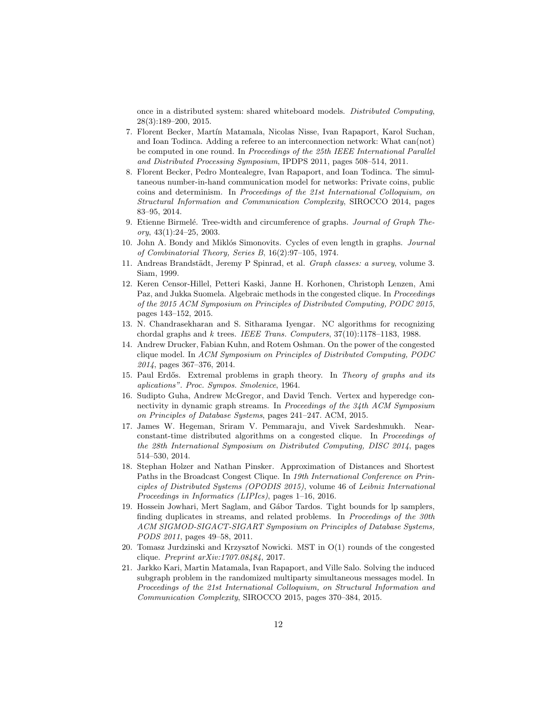once in a distributed system: shared whiteboard models. Distributed Computing, 28(3):189–200, 2015.

- 7. Florent Becker, Mart´ın Matamala, Nicolas Nisse, Ivan Rapaport, Karol Suchan, and Ioan Todinca. Adding a referee to an interconnection network: What can(not) be computed in one round. In Proceedings of the 25th IEEE International Parallel and Distributed Processing Symposium, IPDPS 2011, pages 508–514, 2011.
- 8. Florent Becker, Pedro Montealegre, Ivan Rapaport, and Ioan Todinca. The simultaneous number-in-hand communication model for networks: Private coins, public coins and determinism. In Proceedings of the 21st International Colloquium, on Structural Information and Communication Complexity, SIROCCO 2014, pages 83–95, 2014.
- 9. Etienne Birmelé. Tree-width and circumference of graphs. Journal of Graph Theory, 43(1):24–25, 2003.
- 10. John A. Bondy and Miklós Simonovits. Cycles of even length in graphs. Journal of Combinatorial Theory, Series B, 16(2):97–105, 1974.
- 11. Andreas Brandstädt, Jeremy P Spinrad, et al. Graph classes: a survey, volume 3. Siam, 1999.
- 12. Keren Censor-Hillel, Petteri Kaski, Janne H. Korhonen, Christoph Lenzen, Ami Paz, and Jukka Suomela. Algebraic methods in the congested clique. In Proceedings of the 2015 ACM Symposium on Principles of Distributed Computing, PODC 2015, pages 143–152, 2015.
- 13. N. Chandrasekharan and S. Sitharama Iyengar. NC algorithms for recognizing chordal graphs and  $k$  trees. IEEE Trans. Computers,  $37(10):1178-1183$ , 1988.
- 14. Andrew Drucker, Fabian Kuhn, and Rotem Oshman. On the power of the congested clique model. In ACM Symposium on Principles of Distributed Computing, PODC 2014, pages 367–376, 2014.
- 15. Paul Erdős. Extremal problems in graph theory. In Theory of graphs and its aplications". Proc. Sympos. Smolenice, 1964.
- 16. Sudipto Guha, Andrew McGregor, and David Tench. Vertex and hyperedge connectivity in dynamic graph streams. In Proceedings of the 34th ACM Symposium on Principles of Database Systems, pages 241–247. ACM, 2015.
- 17. James W. Hegeman, Sriram V. Pemmaraju, and Vivek Sardeshmukh. Nearconstant-time distributed algorithms on a congested clique. In Proceedings of the 28th International Symposium on Distributed Computing, DISC 2014, pages 514–530, 2014.
- 18. Stephan Holzer and Nathan Pinsker. Approximation of Distances and Shortest Paths in the Broadcast Congest Clique. In 19th International Conference on Principles of Distributed Systems (OPODIS 2015), volume 46 of Leibniz International Proceedings in Informatics (LIPIcs), pages 1–16, 2016.
- 19. Hossein Jowhari, Mert Saglam, and G´abor Tardos. Tight bounds for lp samplers, finding duplicates in streams, and related problems. In Proceedings of the 30th ACM SIGMOD-SIGACT-SIGART Symposium on Principles of Database Systems, PODS 2011, pages 49–58, 2011.
- 20. Tomasz Jurdzinski and Krzysztof Nowicki. MST in O(1) rounds of the congested clique. Preprint arXiv:1707.08484, 2017.
- 21. Jarkko Kari, Martin Matamala, Ivan Rapaport, and Ville Salo. Solving the induced subgraph problem in the randomized multiparty simultaneous messages model. In Proceedings of the 21st International Colloquium, on Structural Information and Communication Complexity, SIROCCO 2015, pages 370–384, 2015.